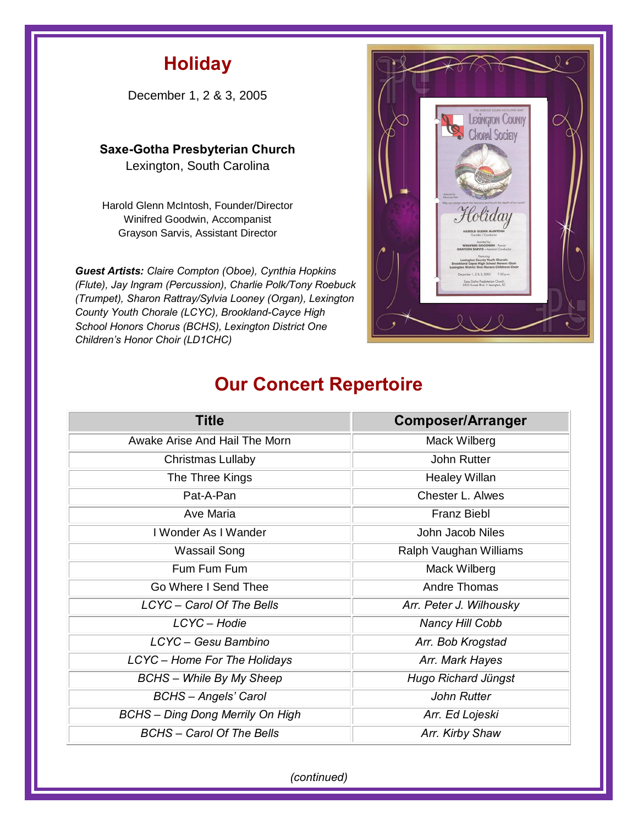## **Holiday**

December 1, 2 & 3, 2005

**Saxe-Gotha Presbyterian Church** 

Lexington, South Carolina

Harold Glenn McIntosh, Founder/Director Winifred Goodwin, Accompanist Grayson Sarvis, Assistant Director

*Guest Artists: Claire Compton (Oboe), Cynthia Hopkins (Flute), Jay Ingram (Percussion), Charlie Polk/Tony Roebuck (Trumpet), Sharon Rattray/Sylvia Looney (Organ), Lexington County Youth Chorale (LCYC), Brookland-Cayce High School Honors Chorus (BCHS), Lexington District One Children's Honor Choir (LD1CHC)*



## **Our Concert Repertoire**

| <b>Title</b>                            | <b>Composer/Arranger</b> |
|-----------------------------------------|--------------------------|
| Awake Arise And Hail The Morn           | Mack Wilberg             |
| Christmas Lullaby                       | John Rutter              |
| The Three Kings                         | <b>Healey Willan</b>     |
| Pat-A-Pan                               | Chester L. Alwes         |
| Ave Maria                               | <b>Franz Biebl</b>       |
| I Wonder As I Wander                    | John Jacob Niles         |
| Wassail Song                            | Ralph Vaughan Williams   |
| Fum Fum Fum                             | Mack Wilberg             |
| Go Where I Send Thee                    | Andre Thomas             |
| LCYC - Carol Of The Bells               | Arr. Peter J. Wilhousky  |
| LCYC-Hodie                              | <b>Nancy Hill Cobb</b>   |
| LCYC - Gesu Bambino                     | Arr. Bob Krogstad        |
| LCYC - Home For The Holidays            | Arr. Mark Hayes          |
| <b>BCHS</b> – While By My Sheep         | Hugo Richard Jüngst      |
| <b>BCHS</b> - Angels' Carol             | <b>John Rutter</b>       |
| <b>BCHS</b> - Ding Dong Merrily On High | Arr. Ed Lojeski          |
| <b>BCHS</b> – Carol Of The Bells        | Arr. Kirby Shaw          |

*(continued)*